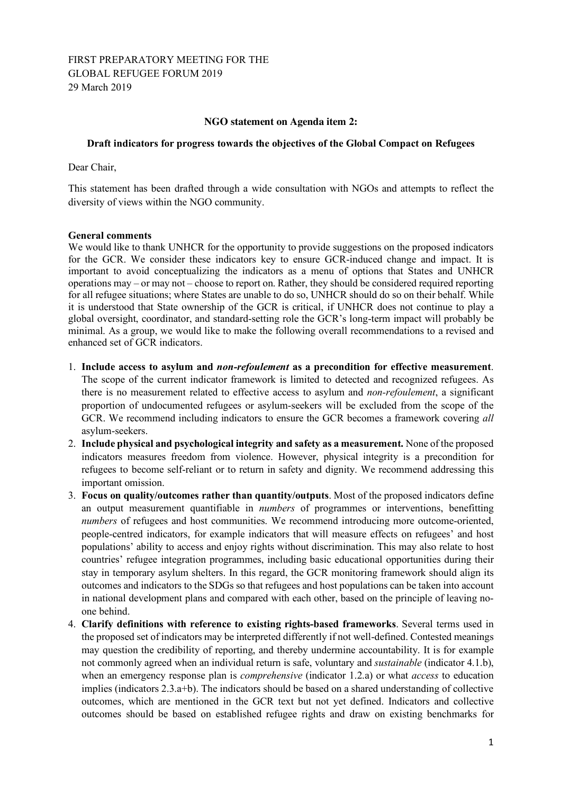## FIRST PREPARATORY MEETING FOR THE GLOBAL REFUGEE FORUM 2019 29 March 2019

## **NGO statement on Agenda item 2:**

## **Draft indicators for progress towards the objectives of the Global Compact on Refugees**

Dear Chair,

This statement has been drafted through a wide consultation with NGOs and attempts to reflect the diversity of views within the NGO community.

## **General comments**

We would like to thank UNHCR for the opportunity to provide suggestions on the proposed indicators for the GCR. We consider these indicators key to ensure GCR-induced change and impact. It is important to avoid conceptualizing the indicators as a menu of options that States and UNHCR operations may – or may not – choose to report on. Rather, they should be considered required reporting for all refugee situations; where States are unable to do so, UNHCR should do so on their behalf. While it is understood that State ownership of the GCR is critical, if UNHCR does not continue to play a global oversight, coordinator, and standard-setting role the GCR's long-term impact will probably be minimal. As a group, we would like to make the following overall recommendations to a revised and enhanced set of GCR indicators.

- 1. **Include access to asylum and** *non-refoulement* **as a precondition for effective measurement**. The scope of the current indicator framework is limited to detected and recognized refugees. As there is no measurement related to effective access to asylum and *non-refoulement*, a significant proportion of undocumented refugees or asylum-seekers will be excluded from the scope of the GCR. We recommend including indicators to ensure the GCR becomes a framework covering *all* asylum-seekers.
- 2. **Include physical and psychological integrity and safety as a measurement.** None of the proposed indicators measures freedom from violence. However, physical integrity is a precondition for refugees to become self-reliant or to return in safety and dignity. We recommend addressing this important omission.
- 3. **Focus on quality/outcomes rather than quantity/outputs**. Most of the proposed indicators define an output measurement quantifiable in *numbers* of programmes or interventions, benefitting *numbers* of refugees and host communities. We recommend introducing more outcome-oriented, people-centred indicators, for example indicators that will measure effects on refugees' and host populations' ability to access and enjoy rights without discrimination. This may also relate to host countries' refugee integration programmes, including basic educational opportunities during their stay in temporary asylum shelters. In this regard, the GCR monitoring framework should align its outcomes and indicators to the SDGs so that refugees and host populations can be taken into account in national development plans and compared with each other, based on the principle of leaving noone behind.
- 4. **Clarify definitions with reference to existing rights-based frameworks**. Several terms used in the proposed set of indicators may be interpreted differently if not well-defined. Contested meanings may question the credibility of reporting, and thereby undermine accountability. It is for example not commonly agreed when an individual return is safe, voluntary and *sustainable* (indicator 4.1.b), when an emergency response plan is *comprehensive* (indicator 1.2.a) or what *access* to education implies (indicators 2.3.a+b). The indicators should be based on a shared understanding of collective outcomes, which are mentioned in the GCR text but not yet defined. Indicators and collective outcomes should be based on established refugee rights and draw on existing benchmarks for